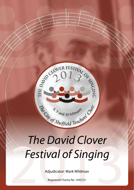

# The David Clover<br>Festival of Singing *The David Clover Festival of Singing*

Adjudicator: Mark Wildman

Registered Charity No. 1043131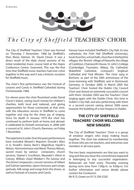

# The City of  $S$ heffield TEACHERS' CHOIR

The City of Sheffield Teachers' Choir was formed on Thursday 7 November, 1968 by Sheffield's then Music Adviser, Dr. David Clover. It was a direct result of the daily choral sessions of his initial residential music course held at the Hayes Conference Centre, Swanwick. This was the first time that Sheffield music teachers had ever come together in this way and it was a historic occasion for Sheffield music.

The choir's first performance was the Festival of Lessons and Carols in Sheffield Cathedral during Christmastide 1968.

For eleven years the choir flourished under David Clover's baton, raising much money for children's charities, both local and national, and giving opportunities for those connected, at that time, with the education service in Sheffield to come together and sing for the sheer joy of singing. Since his death in January 1979 the choir has continued to perform both at home and abroad. It celebrated its fortieth anniversary in 2008 with a concert at St. John's Church, Ranmoor, on Friday 7 November.

The repertoire is wide. Over the years performances have included Mozart's *Requiem,* Dvorak's *Mass in D,* Vivaldi's *Gloria,* Bach's *Magnificat,* Haydn's *Nelson, Harmoniemesse and Maria Theresa Masses*, sacred music by various composers, church services, Stainer's *Crucifixion,* Maunder's *Olivet to Calvary,* William Lloyd Webber's *The Saviour* and *The Divine Compassion*, concert versions of Gilbert and Sulivan operettas, opera choruses, part songs, spirtuals, folk songs and songs from the shows, as well as Festivals of Lessons and Carols.

Venues have included Sheffield's City Hall, its two cathedrals, the Firth Hall (Sheffield University), local churches, school halls, churches in Derbyshire villages, the 'Bronte' village of Haworth, the village of Castleton, Chatsworth House, St. John's College (Cambridge), Fountains Abbey, Ely Cathedral, Wakefield Cathedral, Liverpool's Anglican Cathedral and York Minster. The choir sang in Bochum, as part of the 50th anniversary of the town-twinning with Sheffield, and in Dortmund, Germany, in October 2000. In March 2005 the Teachers' Choir hosted the Dublin City Council Choir and shared an extremely successful concert with them. October 2005 saw the Teachers' Choir singing again with the Dublin Choir, this time in Dublin's City Hall, and also performing with them in a second concert raising almost 5000 euros towards the building of a new hospice in Dublin.

# **THE CITY OF SHEFFIELD TEACHERS' CHOIR WELCOMES NEW SINGERS**

The City of Sheffield Teachers' Choir is a group of amateur singers who enjoy making music together. The choir has widened its membership to those who are not teachers, and welcomes new members in all voice parts.

The two basic requirements are that you want to sing and that you have the commitment expected in belonging to any successful organisation. Rehearsals are held every Thursday evening during term time from 7.00p.m. to 9.00p.m. For further information and venue details please contact the Conductor:

Mr R. D. Green on 0113 256 5320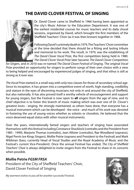# **THE David Clover Festival of Singing**



Dr. David Clover came to Sheffield in 1966 having been appointed as the city's Music Adviser to the Education Department. It was one of the earliest residential courses for music teachers and its daily choral sessions, organised by David, which brought the first members of the Sheffield Teachers' Choir (as it was then known) together in 1968.

Following David's untimely death in 1979, The Teachers' Choir committee at the time decided that there should be a fitting and lasting tribute and memorial to his work. The result, in 1979, was the establishing of *The David Clover Vocal Prize*, the first competition being held in 1980. *The David Clover Vocal Prize* later became *The David Clover Competition* 

*for Singers*, and in 2010 was re-named *The David Clover Festival of Singing*. The original *Vocal Prize* provided an opportunity for singers to perform songs of their own choice with a view to being helped and encouraged by experienced judges of singing, and that ethos is still as strong as it ever was.

*The Vocal Prize* started in a small way with only two classes for those of secondary school age. Since its inception, it has grown into a competitive event of worth, high standing, credibility and stature in the eyes of discerning musicians not only in and around the city of Sheffield, but also nationally. It has also proved itself a worthy vehicle of encouragement and support for young singers, but the Festival is now open to **all** singers from the age of nine, and its chief objective is to foster this branch of music making which was ever one of Dr. Clover's greatest loves - singing. He strongly maintained, as others have done, that everyone has a musical instrument which can be developed - the voice - and much of his work was devoted to fostering the use of young voices whether as soloists or choralists. He believed that the voice deserved equal status with other musical instruments.

Over the years, internationally famed singers and teachers of singing have associated themselves with this festival including Constance Shacklock (contralto and the President from 1985 - 1999), Marjorie Thomas (contralto), Jean Allister (contralto), Rae Woodland (soprano), Nigel Perrin (ex-Kings Singers), Mollie Petrie (soprano and President to the Festival) and Mark Wildman (bass, currently Head of Vocal Studies and the Royal Academy of Music and the Festival's current Vice-President). Once the annual Festival has ended, *The City of Sheffield Teachers' Choir* is always delighted to invite singers from the Festival to share in its concerts when possible.

# **Mollie Petrie** *FGSM FRSA*

President of the City of Sheffield Teachers' Choir, David Clover Festival of Singing

*My warmest wishes to you all for another successful Festival.*

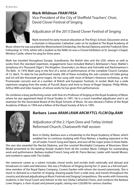

# **Mark Wildman** *FRAM FRSA*

Vice-President of the City of Sheffield Teachers' Choir, David Clover Festival of Singing

# Adjudicator of the 2013 David Clover Festival of Singing

Mark received his early musical education at The King's School, Gloucester and as a chorister in Gloucester Cathedral. Later on he studied at The Royal Academy of

Music where he was awarded the Westmorland Scholarship, the Recital Diploma and the Frederick Slinn Fellowship. In 1976, whilst still a student at the RAM, he won a Choral Exhibition at St. George's Chapel, Windsor Castle, where he sang for three years.

Mark has traveled throughout Europe, Scandinavia, the British Isles and the USA, where as well as works from the standard repertoire, engagements have included Walton's *Belshazzar's Feast*, Mahler's *Symphony of a Thousand*, Elgar's *The Kingdom*, Stravinsky's *Les Noces* and *Pulcinella* and Rachmaninov's *The Bells*. In 1976 Mark sang in the first of a series of performances of the complete Church Cantatas of J.S. Bach. To date he has performed nearly 200 of these including the solo cantatas *Ich habe genug* and *Ich will den Kreuzstab gerne tragen*. He has sung with most of Britain's foremost orchestras, at the Promenade concerts and at a number of British and European Festivals. In recital, Mark has a wide repertoire ranging from the works of Purcell, Boyce and Arne to those of Roger Steptoe, Philip White, Arthur Wills and Giles Swayne, of whose works he has given first performances.

He combines a busy performing career with that of a Professor of Singing at the Royal Academy of Music where he was appointed Head of Vocal Studies in 1991. He is a much travelled adjudicator and is an examiner for the Associated Board of the Royal Schools of Music. He was elected a Fellow of the Royal Academy of Music in 1994 and a fellow of the Royal Society of Arts in 1995.



# **Barbara Lowe** *ARAM LRAM ARCM FTCL FLCM Dip.RAM*

Adjudicator of the 2.15pm Dore and Totley United Reformed Church, Chatsworth Hall session

Born in Derby, Barbara won a scholarship to the Royal Academy of Music which enabled her to continue studying with Flora Nielsen, a leading exponent in the art of Lieder; French Song and Opera, and won all the major prizes in these fields.

She was also awarded the Recital Diploma, and the coveted Worshipful Company of Musicians Silver Medal presented to the leading female student from all the London Music Colleges for outstanding work and performance. Barbara studied French Song with M. Pierre Bernac; Lieder with Gerald Moore, and worked in opera with Tito Gobbi.

Her extensive career as a soloist includes choral works and recitals both nationally and abroad and broadcasts on radio and television. She was a Professor of Singing during her 21 years as a full and parttime member of the Royal Opera Company, Covent Garden with whom she toured extensively. She is much in demand as a teacher of singing, drawing pupils from a wide area, and travels throughout the country and abroad adjudicating at Music Festivals and Singing Competitions. She works with University students; is the Vocal Coach and Adviser to the two Derby Cathedral Choirs, and conducts the Barbara Lowe Singers, a choir of past and present pupils, raising over £20,000 for various charities.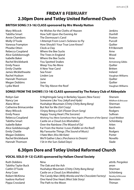# **FRIDAY 8 FEBRUARY 2.30pm Dore and Totley United Reformed Church**

# **BRITISH SONG (13-16) CLASS sponsored by Mrs Wendy Nutton**

| Mary Wilcock         | He Wishes for the Cloths of Heaven    | Jenkins            |
|----------------------|---------------------------------------|--------------------|
| Tabitha Smart        | How Soft Upon the Evening Air         | Dunhill            |
| Annie Chambers       | The Dormouse's Carol                  | Poston             |
| Molly O'Toole        | I Attempt From Love's Sickness to Fly | Purcell            |
| Vanessa Frampton     | How Should I Your True Love Know?     | Ouilter            |
| Phoebe Otten         | Clock-a-Clay                          | <b>R R Bennett</b> |
| Rebecca Coupland     | Where the Bee Sucks                   | Arne               |
| Alice Goldsborough   | The Trees in England                  | Wood               |
| Isabelle Baker       | Where the Bee Sucks                   | Arne               |
| Rachel Bricklebank   | <b>You Spotted Snakes</b>             | Armstrong Gibbs    |
| <b>Emily Peace</b>   | Weep You No More                      | Ouilter            |
| <b>Emily Chattle</b> | A New Year Carol                      | <b>Britten</b>     |
| James Micklethwaite  | Sea Fever                             | Ireland            |
| Rachel Hudson        | Linden Lea                            | Vaughan Williams   |
| Hannah Thomson       | June                                  | Ouilter            |
| Megan Dobbins        | June                                  | Ouilter            |
| Lydia Ward           | The Sky Above the Roof                | Vaughan Williams   |

## **SONGS FROM THE SHOWS (13-16) CLASS sponsored by The Rotary Club of Abbeydale**

| Robyn Gair           | A Nightingale Sang in Berkeley Square (New Faces)                       | Sherwin                        |
|----------------------|-------------------------------------------------------------------------|--------------------------------|
| Nancy Lee            | Someone Like You (Jekyll and Hyde)                                      | <b>Wildhorn &amp; Bricusse</b> |
| Alana Wroe           | Hushabye Mountain (Chitty Chitty Bang Bang)                             | Sherman                        |
| Catherine Brimacombe | But Not for Me (Girl Crazy)                                             | Gershwin                       |
| Mary Wilcock         | l Enjoy Being a Girl <i>(Flower Drum Song)</i>                          | Rodgers                        |
| <b>Emily Peace</b>   | Happy Young Heart (The Sorcerer)                                        | Sullivan                       |
| Rebecca Coupland     | Wishing You Were Somehow Here Again (Phantom of the Opera) Lloyd Webber |                                |
| <b>Tabitha Smart</b> | Castle on a Cloud (Les Misérables)                                      | Schönberg                      |
| Isabelle Baker       | Over the Rainbow (The Wizard of Oz)                                     | Arlen                          |
| Alice Goldsborough   | Far From the Home I Love (Fiddler on the Roof)                          | <b>Bock</b>                    |
| <b>Emily Chattle</b> | My Favourite Things (The Sound of Music)                                | Rodgers                        |
| Megan Dobbins        | I Hate Men (Kiss Me Kate)                                               | Porter                         |
| Rachel Bricklebank   | We'll Gather Lilacs (Perchance to Dream)                                | Novello                        |
| Hannah Thomson       | I Sit in the Sun <i>(Salad Days)</i>                                    | Slade                          |

# **6.30pm Dore and Totley United Reformed Church**

## **VOCAL SOLO (9-12) CLASS sponsored by Hallam Choral Society**

| <b>Ruth Dobbins</b>        | Nina                                                  | attrib. Pergolesi |
|----------------------------|-------------------------------------------------------|-------------------|
| <b>Tabitha Taylor Buck</b> | The Oak and the Ash                                   | anon              |
| Caitlin O'Toole            | Hushabye Mountain (Chitty Chitty Bang Bang)           | Sherman           |
| Amy Coan                   | Castle on a Cloud (Les Misérables)                    | Schönberg         |
| Robert McKinna             | The Candy Man (Willy Wonka and the Chocolate Factory) | Newley & Bricusse |
| Isadora Hurford            | One Hand One Heart (West Side Story)                  | <b>Bernstein</b>  |
| Pippa Crossland            | The Path to the Moon                                  | Thiman            |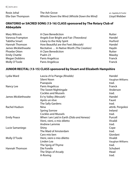6 | DCFS 2013

| Rosie Johal        | The Ash Grove                                 |
|--------------------|-----------------------------------------------|
| Ella-Sian Thompson | Whistle Down the Wind (Whistle Down the Wind) |

## **ORATORIO or SACRED SONG (13-16) CLASS sponsored by The Rotary Club of Abbeydale**

| Mary Wilcock         | A Clare Benediction                        | Rutter  |
|----------------------|--------------------------------------------|---------|
| Vanessa Frampton     | Angels Ever Bright and Fair (Theordora)    | Handel  |
| Tabitha Smart        | Litany to the Holy Spirit                  | Hurford |
| Hannah Thomson       | How Beautiful are the Feet (Messiah)       | Handel  |
| James Micklethwaite  | Recitative  In Native Worth (The Creation) | Haydn   |
| Phoebe Otten         | A Clare Benediction                        | Rutter  |
| <b>Emily Chattle</b> | Psalm 23                                   | Mawby   |
| <b>Megan Dobbins</b> | Panis Angelicus                            | Franck  |
| Molly O'Toole        | Panis Angelicus                            | Franck  |

# **JUNIOR RECITAL (13-15) CLASS sponsored by Stuart and Elizabeth Hampshire**

| Lascia ch'io Pianga (Rinaldo)             | Handel            |
|-------------------------------------------|-------------------|
| Silent Noon                               | Vaughan Williams  |
| Psarapula                                 | trad.             |
| Panis Angelicus                           | Franck            |
| The Sweet Nightingale                     | Anderson          |
| <b>Cockles and Mussels</b>                | trad.             |
| Ev'ry Valley (Messiah)                    | Handel            |
| Après un rêve                             | Fauré             |
| The Sally Gardens                         | trad.             |
| Nina                                      | attrib. Pergolesi |
| Spring Sorrow                             | Ireland           |
| <b>Cockles and Mussels</b>                | trad.             |
| When I am Laid in Earth (Dido and Aeneas) | Purcell           |
| Vieni, vieni, o mio diletto               | Vivaldi           |
| Andrew Lammie                             | trad.             |
| Shiny                                     | Cope              |
| The Maid of Amsterdam                     | trad.             |
| Caro mio ben                              | Giordani          |
| Vieni, vieni o mio diletto                | Vivaldi           |
| Linden Lea                                | Vaughan Williams  |
| The Sprig of Thyme                        | trad.             |
| Die Forelle                               | Schubert          |
| The Ships of Arcady                       | Head              |
| A-Roving                                  | trad.             |
|                                           |                   |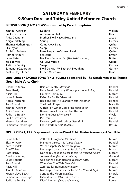# **SATURDAY 9 FEBRUARY 9.30am Dore and Totley United Reformed Church**

# **BRITISH SONG (17-21) CLASS sponsored by Peter Humphries**

| Jennifer Atkinson         | Daphne                                 | Walton         |
|---------------------------|----------------------------------------|----------------|
| <b>Emilie Fitzpatrick</b> | A Green Cornfield                      | Head           |
| Anita Chandran            | Mother, I Will Have a Husband          | Jacob          |
| Abigail Kitching          | Spring                                 | Gurney         |
| Thomas Hetherington       | Come Away Death                        | Ouilter        |
| Ella Taylor               | Sleep                                  | Gurney         |
| Ashleigh Roberts          | Now Sleeps the Crimson Petal           | Quilter        |
| <b>Harriet Astbury</b>    | Seascape                               | <b>Britten</b> |
| Laura Lister              | Not Even Summer Yet (The Red Cockatoo) | <b>Britten</b> |
| Jack Bowtell              | Go, Lovely Rose                        | Ouilter        |
| Judith le Breuilly        | Sleep                                  | Gurney         |
| Samantha Oxborough        | I Will Go With My Father A-Ploughing   | Gurney         |
| Kirsten Lloyd-Leach       | O for a March Wind                     | Head           |

## **ORATORIO or SACRED SONG (17-21) CLASS sponsored by The Gentlemen of Millhouse Green Male Voice Choir**

| Rejoice Greatly (Messiah)                   | Handel   |
|---------------------------------------------|----------|
| Here Amid the Shady Woods (Alexander Balus) | Handel   |
| Laudate Dominum                             | Mozart   |
| If God Be For Us (Messiah)                  | Handel   |
| Recit and aria: Ye Scared Priests (Jephtha) | Handel   |
| The Lord's Prayer                           | Marlotte |
| O That I on Wings Could Rise (Theodora)     | Handel   |
| Blessed are all they that fear the Lord     | Handel   |
| Domine Deus (Gloria in D)                   | Vivaldi  |
| Pie Jesu                                    | Fauré    |
| Farewell ye limpid springs (Jephtha)        | Handel   |
| Fac ut Portem (Stabat Mater)                | Rossini  |
|                                             |          |

## **OPERA (17-21) CLASS sponsored by Vivien Pike & Robin Morton in memory of Sam Hiller**

| Laura Lister           | Zeffiretti lusinghiera (Idomeneo)                     | Mozart        |
|------------------------|-------------------------------------------------------|---------------|
| Eleanor Perry          | Piangero la sorte mia (Giulio Cesare)                 | Handel        |
| Kate Lansdale          | Voi che sapete (Le Nozze di Figaro)                   | Mozart        |
| Ann Wilkes             | Non so piu cosa son, cosa faccio (Le Nozze di Figaro) | Mozart        |
| Rosa Hardy             | Non so piu cosa son, cosa faccio (Le Nozze di Figaro) | Mozart        |
| <b>Charlotte Kenny</b> | Je veux vivre (Roméo et Juliette)                     | Gounod        |
| Laura Roberts          | Una donna a quindici anni (Così fan tutte)            | Mozart        |
| Jack Bowtell           | Where'ere You Walk (Semele)                           | Handel        |
| Alicia Hill            | Zeffiretti lusinghieri (Idomeneo)                     | Mozart        |
| Jennifer Atkinson      | Non so piu cosa son, cosa faccio (Le Nozze di Figaro) | Mozart        |
| Kirsten Lloyd-Leach    | Song to the Moon (Rusalka)                            | <b>Dvorak</b> |
| Samantha Oxborough     | Dido's Lament (Dido and Aeneas)                       | Purcell       |
| Judith le Breuilly     | Dido's Lament (Dido and Aeneas)                       | Purcell       |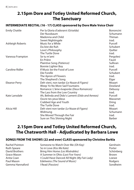# **2.15pm Dore and Totley United Reformed Church, The Sanctuary**

# **INTERMEDIATE RECITAL (16 - 17) CLASS sponsored by Dore Male Voice Choir**

| <b>Emily Chattle</b> | Per la Gloria d'adorarvi (Griselda)             | <b>Bononcini</b> |
|----------------------|-------------------------------------------------|------------------|
|                      | Der Nussbaum                                    | Schumann         |
|                      | Madonna and Child                               | Thiman           |
|                      | Sweet Nightingale                               | trad.            |
| Ashleigh Roberts     | Music for a While                               | Purcell          |
|                      | Du bist die Ruh                                 | Schubert         |
|                      | Love's Philosophy                               | Ouilter          |
|                      | The Turtle Dove                                 | trad.            |
| Vanessa Frampton     | Se tu m'ami                                     | Pergolesi        |
|                      | En Prière                                       | Fauré            |
|                      | Plaintive Song (Patience)                       | Sullivan         |
|                      | Bonnie Lighter Boy                              | trad.            |
| Caroline Ridler      | If Music be the Food of Love                    | Purcell          |
|                      | Die Forelle                                     | Schubert         |
|                      | The Apron of Flowers                            | trad.            |
|                      | The Shepherd's Song                             | Elgar            |
| Eleanor Perry        | Deh vieni, non tardar (Le Nozze di Figaro)      | Mozart           |
|                      | Weep Ye No More Sad Fountains                   | Dowland          |
|                      | Romance: L'âme évaporée (Deux Romances)         | Debussy          |
|                      | The Lass from the Low Country                   | trad.            |
| Kate Lansdale        | Ah, Belinda and Dido's Lament (Dido and Aeneas) | Purcell          |
|                      | Ouvre tes yeux bleus                            | Massenet         |
|                      | Crabbed Age and Youth                           | Dring            |
|                      | The Turtle Dove                                 | trad.            |
| Alicia Hill          | Deh vieni non tardar (Le Nozze di Figaro)       | Mozart           |
|                      | Widmung                                         | Schumann         |
|                      | She Moved Through the Fair                      | trad.            |
|                      | Sure on This Shining Night                      | Barber           |

# **2.15pm Dore and Totley United Reformed Church, The Chatsworth Hall - Adjudicated by Barbara Lowe**

# **SONGS FROM THE SHOWS (22 and over) CLASS sponsored by Christine Barkla**

| Rachel Pointon     | Someone to Watch Over Me (Oh Kay)            | Gershwin  |
|--------------------|----------------------------------------------|-----------|
| <b>Ruth Speare</b> | So in Love (Kiss Me Kate)                    | Porter    |
| David Brothers     | Bring Him Home (Les Misérables)              | Schönberg |
| Grace Mason        | A Summer in Ohio (Last Five Years)           | Brown     |
| Anita Coan         | I Could Have Danced All Night (My Fair Lady) | Loewe     |
| Paul Mason         | Edelweiss (The Sound of Music)               | Rodgers   |
| Gemma Hannaford    | I Read (Passion)                             | Sondheim  |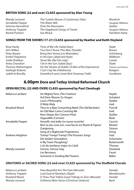# **BRITISH SONG (22 and over) CLASS sponsored by Alan Young**

| Wendy Leonard    | The Turkish Mouse (3 Cautionary Tales) | Woolrich              |
|------------------|----------------------------------------|-----------------------|
| Annabelle Pepper | The Water Mill                         | Vaughan Williams      |
| Gemma Hannaford  | Over the Mountains                     | Ouilter               |
| Anthony Trippett | The Vagabond (Songs of Travel)         | Vaughan Williams      |
| Rachel Pointon   | Sea Wrack                              | <b>Hamilton Harty</b> |

## **SONGS FROM THE SHOWS (17-21) CLASS sponsored by Heather and Keith Hoyland**

| Rosa Hardy                | Time of My Life (Salad Days)                      | Slade                      |
|---------------------------|---------------------------------------------------|----------------------------|
| Ann Wilkes                | You Don't Know This Man (Parade)                  | Brown                      |
| Peter Bryant              | Bring Him Home (Les Misérables)                   | Schönberg                  |
| <b>Emilie Fitzpatrick</b> | In His Eyes (Jekyll and Hyde)                     | Wildhorn                   |
| Joelle Brabban            | Show Me (My Fair Lady)                            | Loewe                      |
| Anita Chandran            | I Sit in the Sun (Salad Days)                     | Slade                      |
| Thomas Hetherington       | On the Streets of Dublin (A Man of No Importance) | <b>Flaherty and Ahrens</b> |
| Ashleigh Roberts          | I Can't Say No (Oklahoma)                         | Rodgers                    |
| Judith le Breuilly        | Greenfinch and Linnet Bird (Sweeney Todd)         | Sondheim                   |

# **6.00pm Dore and Totley United Reformed Church**

# **OPEN RECITAL (22 AND OVER) CLASS sponsored by Paul Clerehugh**

| Rebecca Lambert      | On Mighty Pens (The Creation)                         | Haydn          |
|----------------------|-------------------------------------------------------|----------------|
|                      | Auf Dem Wasser Zu Singen                              | Schubert       |
|                      | Love's Philosophy                                     | Quilter        |
|                      | O Waly Waly                                           | trad.          |
| <b>Rosalind Wood</b> | Thus to a Ripe Consenting Maid (The Old Bachelor)     | Purcell        |
|                      | An Old Man Came Courting Me                           | trad.          |
|                      | Now Sleeps the Crimson Petal                          | Ouilter        |
|                      | Seguedille (Carmen)                                   | Bizet          |
| Annabelle Pepper     | Amarilli, mia bella (Le nuove musiche)                | Caccini        |
|                      | Non so piu cosa son, cosa faccio (Le Nozze di Figaro) | Mozart         |
|                      | Zueignung                                             | <b>Strauss</b> |
|                      | Song of a Nightclub Proprietress                      | Dring          |
| Andrew Heighton      | Tramp! Tramp! Tramp! (The Prisoners Song)             | trad.          |
|                      | Die beiden Grenadiere                                 | Schumann       |
|                      | Is My Team Ploughing?                                 | Butterworth    |
|                      | L'air du tambour major (Le Caid)                      | Thomas         |
| Wendy Leonard        | Sorrow, Sorrow Stay                                   | Dowland        |
|                      | Les Berceaux                                          | Fauré          |
|                      | Someone is Sending Me Flowers                         | Baker          |

## **ORATORIO or SACRED SONG (22 and over) CLASS sponsored by The Sheffield Chorale**

| Rebecca Lambert  | How Beautiful Are The Feet (Messiah)               | Handel      |
|------------------|----------------------------------------------------|-------------|
| Anthony Trippett | Lord God of Abraham (Elijah)                       | Mendelssohn |
| Rosalind Wood    | O Thou That Tellest Good Tidings to Zion (Messiah) | Handel      |
| Wendy Leonard    | Schliesse Mein Herze (Christmas Oratorio)          | Bach        |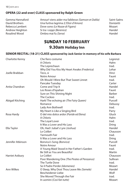## **OPERA (22 and over) CLASS sponsored by Ralph Green**

Gemma Hannaford Amour! viens aider ma faiblesse *(Samson et Dalila)* Saint-Saëns David Brothers Una furtiva lagrima *(L'Elisir d'Amore)* Donizetti Dove sono *(Le Nozze di Figaro)* Andrew Heighton Si tra i ceppi *(Berenice)* Francel Mandel (Serenice) and the serenic expansion of the Handel Control of the Handel (Serenice) and the Handel (Serenice) and the Handel (Serenice) and the Handel (Serenice) a Rosalind Wood Ombra mai fu *(Serse)* Handel

# **SUNDAY 10 FEBRUARY 9.30am Holiday Inn**

#### **SENIOR RECITAL (18-21) CLASS sponsored by Jack Senior in memory of his wife Barbara**

| Che fiero costume                            | Legrenzi |
|----------------------------------------------|----------|
| A Chloris                                    | Hahn     |
| The Leprechaun                               | trad.    |
| Why Did You Kiss My Heart Awake (Frederica)  | Lehar    |
| Teco, si                                     | Vinci    |
| Notre Amour                                  | Fauré    |
| Oh Would I Were But That Sweet Linnet        | trad.    |
| Pancake Tuesday                              | Carter   |
| Come and Trip It                             | Handel   |
| Les Roses d'Ispahan                          | Fauré    |
| Sure on This Shining Night                   | Barber   |
| The Cuckoo                                   | trad.    |
| Hark! The echoing air (The Fairy Queen)      | Purcell  |
| Romance                                      | Debussy  |
| Lady Ann Bothwell                            | trad.    |
| My Heart is Like a Singing Bird              | Parry    |
| O del mio dolce ardor (Paride ed Elena)      | Gluck    |
| A Chloris                                    | Hahn     |
| The Loyal Lover                              | trad.    |
| It Was a Lover and His Lass                  | Dring    |
| Oh, Had I Jubal's Lyre (Joshua)              | Handel   |
| Le Colibri                                   | Chausson |
| <b>Yarmouth Fair</b>                         | trad.    |
| It Was a Lover and His Lass                  | Dring    |
| Bonvica's Song (Bonvica)                     | Purcell  |
| Notre Amour                                  | Fauré    |
| A Young Maid Stood in Her Father's Garden    | trad.    |
| Be Still as You are Beautiful                | Martin   |
| Le Colibri                                   | Chausson |
| Poor Wandering One (The Pirates of Penzance) | Sullivan |
| The Turtle Dove                              | trad.    |
| Se il Padre Perdei (Idomeneo)                | Mozart   |
| O Sleep, Why Dost Thou Leave Me (Semele)     | Handel   |
| Bescheidener Liebe                           | Wolf     |
| She Moved Through the Fair                   | trad.    |
| In uomini (Così fan tutte)                   | Mozart   |
|                                              |          |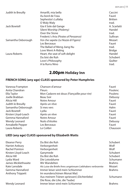#### DCFS 2013 | 11

| Judith le Breuilly | Amarilli, mia bella                   | Caccini        |
|--------------------|---------------------------------------|----------------|
|                    | Au bord de l'eau                      | Fauré          |
|                    | Sephestia's Lullaby                   | <b>Britten</b> |
|                    | O Waly Waly                           | trad.          |
| Jack Bowtell       | Gia il Sole dal Gange                 | A. Scarlatti   |
|                    | Silent Worship (Ptolemy)              | Handel         |
|                    | Over the Stone                        | trad.          |
|                    | Frederic's Aria (Pirates of Penzance) | Sullivan       |
| Samantha Oxborough | Voi che sapete (Le Nozze di Figaro)   | Mozart         |
|                    | Les Berceaux                          | Fauré          |
|                    | The Ballad of Meng Jiang Nu           | trad.          |
|                    | Love Went A-Riding                    | <b>Bridge</b>  |
| Laura Roberts      | Heart, the seat of soft delight       | Handel         |
|                    | Du bist die Ruh                       | Schubert       |
|                    | Love's Philosophy                     | Ouilter        |
|                    | A la Rurru Nino                       | trad.          |

# **2.00pm Holiday Inn**

# **FRENCH SONG (any age) CLASS sponsored by Peter Humphries**

| Vanessa Frampton    | Chanson d'amour                              | Fauré    |
|---------------------|----------------------------------------------|----------|
| Anita Chandran      | <b>Fleurs</b>                                | Poulenc  |
| Ella Taylor         | Mon Cadavre est doux (Fiançailles pour rire) | Poulenc  |
| Joelle Brabban      | Beau Soir                                    | Debussy  |
| Alicia Hill         | Notre Amour                                  | Fauré    |
| Judith le Breuilly  | Après un rêve                                | Fauré    |
| Samantha Oxborough  | Si mes vers                                  | Hahn     |
| Jack Bowtell        | Lvdia                                        | Fauré    |
| Kirsten Lloyd-Leach | Après un rêve                                | Fauré    |
| Gemma Hannaford     | Notre Amour                                  | Fauré    |
| Wendy Leonard       | Nuits d'étoiles                              | Debussy  |
| Annabelle Pepper    | Les Berceaux                                 | Fauré    |
| Laura Roberts       | Le Colibri                                   | Chausson |

# **LIED (any age) CLASS sponsored by Elizabeth Watts**

| Eleanor Perry           | Du Bist die Ruh                                             | Schubert      |
|-------------------------|-------------------------------------------------------------|---------------|
| <b>Harriet Astbury</b>  | Verborgenheit                                               | Wolf          |
| <b>Rachel Pointon</b>   | Verborgenheit                                               | Wolf          |
| Kirsten Lloyd-Leach     | Ganymede                                                    | Schubert      |
| Alicia Hill             | Du Bist die Ruh                                             | Schubert      |
| Lydia Ward              | Die Lotosblume                                              | Schumann      |
| James Micklethwaite     | Wir Wandelten                                               | <b>Brahms</b> |
| Kate Lansdale           | Als Luise die Briefe ihres ungetreuen Liebhabers verbrannte | Mozart        |
| Gemma Hannaford         | Immer leiser wird mein Schlummer                            | <b>Brahms</b> |
| <b>Anthony Trippett</b> | Im wunderschönen Monat Mail                                 |               |
|                         | Aus meinem Tränen spriessen} (Dichterliebe)                 | Schumann      |
|                         | Die Rose, die Lilie, die Taube}                             |               |
| Wendy Leonard           | Immer leiser wird mein Schlummer                            | <b>Brahms</b> |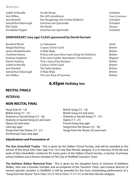| Judith le Breuilly | An die Musik                         | Schubert       |
|--------------------|--------------------------------------|----------------|
| Ann Wilkes         | Die still Lotosblume                 | Clara Schumann |
| Jack Bowtell       | Der Neugierige (Die Schöne Müllerin) | Schubert       |
| Samantha Oxborough | Gretchen am Spinnrade                | Schubert       |
| Ella Taylor        | Die Nacht                            | <b>Strauss</b> |
| Annabelle Pepper   | Gretchen am Spinnrade                | Schubert       |

## **ANNIVERSARY (any age) CLASS sponsored by David Durrant**

| Rosalind Wood       | La Seduzione                                      | Verdi          |
|---------------------|---------------------------------------------------|----------------|
| Abigail Kitching    | Corpus Christi Carol                              | <b>Britten</b> |
| James Micklethwaite | O Waly Waly                                       | <b>Britten</b> |
| Charlotte Kenny     | If thou wilt ease thine heart (Dirge for Wolfram) | <b>Britten</b> |
| Andrew Heighton     | O du mein holder Abendstern (Tannhäuser)          | Wagner         |
| Harriet Astbury     | Tiny's Song (Paul Bunyan)                         | <b>Britten</b> |
| Judith le Breuilly  | Corpus Christi Carol                              | <b>Britten</b> |
| Jack Bowtell        | The Sally Gardens                                 | <b>Britten</b> |
| Samantha Oxborough  | O Waly Waly                                       | <b>Britten</b> |
| Ann Wilkes          | The Last Rose of Summer                           | <b>Britten</b> |
|                     |                                                   |                |

# **6.45pm Holiday Inn**

## **RECITAL FINALS**

#### *INTERVAL*

## **NON-RECITAL FINAL**

| Vocal Solo (9 - 12)                   | British Song (13 - 16)             |
|---------------------------------------|------------------------------------|
| British Song (17 - 21)                | British Song (22 and over)         |
| Oratorio or Sacred Song (13 - 16)     | Oratorio or Sacred Song (17 - 21)  |
| Oratorio or Sacred Song (22 and over) | Opera (17 - 21)                    |
| Opera (22 and over)                   | French Song (any age)              |
| Lied (any age)                        | Songs from the Shows (13 - 16)     |
| Songs from the Shows (17 - 21)        | Songs from the Shows (22 and over) |
| Anniversary Class (any age)           |                                    |

#### **Adjudications and Presentation of**

**The Don Greenfield Trophy** - This is given by the Hallam Choral Society, and will be awarded to the winner of the Vocal Solo Class (age 9 to 12) in the Non-Recital category. It is in memory of the life and work of Don Greenfield, conductor for many years of the Hallam Choral Society, a teacher of primary school children and a former member of The City of Sheffield Teachers' Choir.

**The Kathleen Walker Memorial Prize** - This is given by her daughter Anne, in memory of Kathleen Walker, who was a founder member and accompanist of the Teachers' Choir, and musical director of several operatic societies in Sheffield. It will be awarded for the most outstanding performance of a "Song from the Shows" from Class 16 (13-16) or Class 17 (17-21) in the Non-Recital catagory.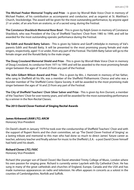**The Michael Peaker Memorial Trophy and Prize** - is given by Worrall Male Voice Choir in memory of Michael Peaker, of his contribution as accompanist and conductor, and as organist at St. Matthias's Church, Stocksbridge. The award will be given for the most outstanding performance, by anyone aged 21 or under, of an aria from an oratorio, or of a sacred song, during the Festival.

**The Constance Shacklock Memorial Rose Bowl** - This is given by Ralph Green in memory of Constance Shacklock, who was President of the City of Sheffield Teachers' Choir from 1985 to 1999, and will be awarded for the most outstanding operatic performance during the Festival.

**The Edith and Ronald Batty Salvers** - This is given by Valerie and Geoff Littledyke in memory of Val's parents Edith and Ronald Batty. It will be presented to the most promising young female and male singers, respectively, aged 15 or under, from any part of the Festival. The Edith Batty Salver will go to the female singer and the Ronald Batty to the male singer.

**The Doug Crossland Memorial Shield and Prize** - This is given by Worrall Male Voice Choir in memory of Doug Crossland, its conductor from 1971 to 1995 and will be awarded to the most promising female singer between the ages of 16 and 23 from any part of the Festival.

**The John Gilbert Wilson Award and Prize** - This is given by Mrs. J. Hamnett in memory of her father, who sang in Sheffield all his life, was a member of the Sheffield Philharmonic Chorus and who was a founder member of The Sheffield Comic Opera Society. It will be awarded to the most promising male singer between the ages of 16 and 23 from any part of the Festival.

**The City of Sheffield Teachers' Choir Silver Salver and Prize** - This is given by Ann Durrant, a member of the Teachers' Choir for over twenty years, and will be awarded for the most outstanding performance by a winner in the Non-Recital Classes.

#### **The 2013 David Clover Festival of Singing Recital Awards**

#### **James Kirkwood** *LRAM LTCL ARCM*

Honorary Vice-President

On David's death in January 1979 he took over the conductorship of Sheffield Teachers' Choir and with the support of Rupert Norris and the choir committee, set up 'The David Clover Festival of Singing' as a lasting tribute and memorial to this man who had done so much to direct James' future career as teacher, advisory teacher and finally adviser for music to the Sheffield L.E.A. - a post David Clover himself had held until his death.

#### **Richard Clover** *LTCL FASC*

Honorary Vice-President

Richard (the younger son of David Clover) like David attended Trinity College of Music, London where his own passion for singing grew. Richard is currently senior Layclerk with Ely Cathedral Choir. He has sung in many of the great cathedrals and churches of England, Europe, Canada and the USA and has made numerous appearances on radio and television. He often appears in concerts as a soloist in the counties of Cambridgeshire, Norfolk and Suffolk.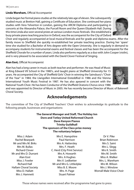#### 14 | DCFS 2013

#### **Linda Wareham,** Official Accompanist

Linda began her formal piano studies at the relatively late age of eleven. She subsequently studied music at Bretton Hall, gaining a Certificate of Education. She continued her piano studies with Vera Yelverton in London, gaining the ARCM Diploma and participating in concerts at the Alexandra Palace, the Purcell Room and the Queen Elizabeth Hall. During this time Linda also won several prizes at various London music festivals. She established a busy private piano teaching practice in Oxford, was the accompanist for the City of Oxford

Choir and regularly accompanied at local musical festivals and for grade and diploma exams. After the family move to Sheffield she quickly re-established her private teaching practice. During her 'spare' time she studied for a Bachelor of Arts degree with the Open University. She is regularly in demand to accompany students for instrumental exams and festival classes and has been the accompanist for the Sheffield Chorale for a number of years. Linda also performs regularly as a duo with John Cooper (violin), and is very pleased to be associated with the David Clover Festival of Singing.

#### **Alan Eost,** Official Accompanist

Alan has had a long career in music as both teacher and performer. He was Head of Music at King Edward VII School in the 1980's, and taught piano at Sheffield University for 15 years. He accompanied the City of Sheffield Girls' Choir in winning the Sainsbury's "Choir of the Year" in 1984, the Llangollen International Eisteddfod in 1986 and the Vienna International Youth Music Festival in 1987. He has also apeared in concert with the National Youth Choir. He has been Conductor of the Sheffield Oratorio Chorus since 1986

and was appointed its Director of Music in 2005. He has recently become Director of Music of Bakewell Choral Society.

# **Acknowledgements**

The committee of The City of Sheffield Teachers' Choir wishes to acknowledge its gratitude to the following people, businesses and organisations:

#### **The General Manager and Staff, The Holiday Inn Dore and Totley United Reformed Church Dave Kenyon Pianos Trinity Guildhall The sponsors of the Class prize money The voluntary helpers**

Miss J. Adam Rachel Bearpark Mr and Mrs M. Birks Mrs M. Bullas Richard Clover Mr and Mrs D. Durrant Alan Eost Miss J. Fowler Richard Hall Hallam Choral Society Miss D. Hallatt Mrs J. Hamnett

Mrs E. Hampshire Paul Harrison Mrs A. Hattersley Mrs. F. Heath C. Herd (City Print Service) Mrs A. Howarth Mrs. A Hughes Mrs V. Ledbetter Mr and Mrs G. Littledyke Miss B. E. Moore Mrs. H. Page Stuart Palmer

Dr V. Pike Brian Robinson Mrs S. Saint Mrs L. Slegg Mrs K. Smith Mrs M. Smith Miss A. Walker Mrs. L. Wareham Mrs M. Wilson Mrs J. Winslow Worrall Male Voice Choir

Those whose names were received after the programme had gone to press



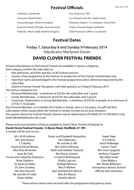# **Festival Officials**

| Chairman: Joy Bowler                     |
|------------------------------------------|
| <b>Treasurer: David Potter</b>           |
| House Manager: Roderick Hughes           |
| Festival Friends: Di Hallat, Anne Howart |
| Publicity: Marie Udall, Roderick Hughes  |

Vice-Chairman: TRA Co-ordinator and M.C: Ralph Green Voluntary Helpers' Co-ordinator: Sonia Saint h Frophy Steward: Roger Ledbetter Fublicity: Marie Child Protection Officer: Joy Bowler

# **Festival Dates**

**Friday 7, Saturday 8 and Sunday 9 February 2014** Adjudicator Marilynne Davies

# **DAVID CLOVER FESTIVAL FRIENDS**

Annual subscriptions to the Festival Friends are available in various categories. Each category entitles the subscriber to:

- free admission, and their quest(s), to all Festival sessions
- receive a free programme at the Festival on production of the Friends membership card
- have their name acknowledged in the Festival programme unless otherwise requested by the subscriber
- attend a Festival Friends' Reception, with their quest(s), on Friday 8 February 2013 The various categories are:
- Personal Membership a minimum of £20 for the subscriber and 1 quest
- Family Membership a minimum of £30 for the subscriber and 3 quests
- Corporate, Organisation or Group Membership a minimum of £50 for 6 people, or a minimum of £75 for 7-10 people.

Any Personal Member, or a member of a Family or Group, who is a tax payer, can gift-aid their subscription which would allow the Festival to reclaim income tax on your donation. Any queries about the Festival Friends scheme may be addressed to Di Hallatt (0114 249 0402) or by email (dhallatt@beachcroft.co.uk).

Please send your donation (cheques payable to *David Clover Festival of Singing*) to:

#### **David Clover Festival Friends, 12 Byron Road, Sheffield, S7 1RY.**

A receipt will be sent to you.

| Mr J M W Astbury               | <b>Stuart and Elizabeth Hampshire</b> | Hazel Page                 |
|--------------------------------|---------------------------------------|----------------------------|
| Mrs Jean Baines                | Ann Hattersley                        | D S Palmer                 |
| C E Barkla                     | Mr and Mrs E Hill                     | Janet Philbedge            |
| David and Enid Bishop          | Mrs Sylvia Holloway                   | Sonia C Saint              |
| Miss Elsie Brownlee            | Keith and Heather Hoyland             | Mrs Irene Sargeant         |
| Janet M Clark                  | Mrs Penny Joosten                     | <b>Anthony Trippett</b>    |
| Trevor and Catherine Dickinson | J H and O M Kirkwood                  | Mrs Mary Smith             |
| <b>Brian Dobbins</b>           | Phyllis Laycock                       | Clare Wallace              |
| Dr Sylvia Dunkley              | Shelagh Marston                       | Mrs Sheila Wilkinson       |
| Dr John Dunkley                | Miss H Mather                         | Anonymous donors, festival |
| <b>Mrs Ann Durrant</b>         | Jean and Malcolm Mercer               | officials and volunteers   |
| Mr and Mrs N Fuller            | Miss B E Moore                        |                            |
| Diane Hallatt                  | <b>Heather Morris</b>                 |                            |

Those whose names were received after the programme had gone to press.